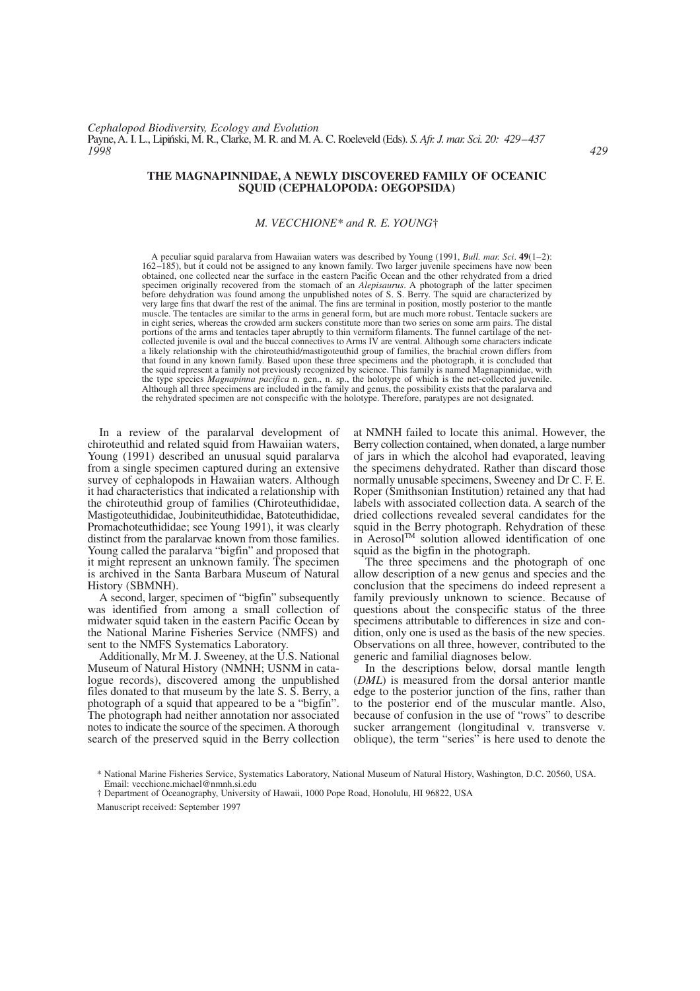# **THE MAGNAPINNIDAE, A NEWLY DISCOVERED FAMILY OF OCEANIC SQUID (CEPHALOPODA: OEGOPSIDA)**

# *M. VECCHIONE\* and R. E. YOUNG*†

A peculiar squid paralarva from Hawaiian waters was described by Young (1991, *Bull. mar. Sci*. **49**(1–2): 162–185), but it could not be assigned to any known family. Two larger juvenile specimens have now been obtained, one collected near the surface in the eastern Pacific Ocean and the other rehydrated from a dried specimen originally recovered from the stomach of an *Alepisaurus*. A photograph of the latter specimen before dehydration was found among the unpublished notes of S. S. Berry. The squid are characterized by very large fins that dwarf the rest of the animal. The fins are terminal in position, mostly posterior to the mantle muscle. The tentacles are similar to the arms in general form, but are much more robust. Tentacle suckers are in eight series, whereas the crowded arm suckers constitute more than two series on some arm pairs. The distal portions of the arms and tentacles taper abruptly to thin vermiform filaments. The funnel cartilage of the netcollected juvenile is oval and the buccal connectives to Arms IV are ventral. Although some characters indicate a likely relationship with the chiroteuthid/mastigoteuthid group of families, the brachial crown differs from that found in any known family. Based upon these three specimens and the photograph, it is concluded that the squid represent a family not previously recognized by science. This family is named Magnapinnidae, with the type species *Magnapinna pacifica* n. gen., n. sp., the holotype of which is the net-collected juvenile. Although all three specimens are included in the family and genus, the possibility exists that the paralarva and the rehydrated specimen are not conspecific with the holotype. Therefore, paratypes are not designated.

In a review of the paralarval development of chiroteuthid and related squid from Hawaiian waters, Young (1991) described an unusual squid paralarva from a single specimen captured during an extensive survey of cephalopods in Hawaiian waters. Although it had characteristics that indicated a relationship with the chiroteuthid group of families (Chiroteuthididae, Mastigoteuthididae, Joubiniteuthididae, Batoteuthididae, Promachoteuthididae; see Young 1991), it was clearly distinct from the paralarvae known from those families. Young called the paralarva "bigfin" and proposed that it might represent an unknown family. The specimen is archived in the Santa Barbara Museum of Natural History (SBMNH).

A second, larger, specimen of "bigfin" subsequently was identified from among a small collection of midwater squid taken in the eastern Pacific Ocean by the National Marine Fisheries Service (NMFS) and sent to the NMFS Systematics Laboratory.

Additionally, Mr M. J. Sweeney, at the U.S. National Museum of Natural History (NMNH; USNM in catalogue records), discovered among the unpublished files donated to that museum by the late S. S. Berry, a photograph of a squid that appeared to be a "bigfin". The photograph had neither annotation nor associated notes to indicate the source of the specimen. A thorough search of the preserved squid in the Berry collection

at NMNH failed to locate this animal. However, the Berry collection contained, when donated, a large number of jars in which the alcohol had evaporated, leaving the specimens dehydrated. Rather than discard those normally unusable specimens, Sweeney and Dr C. F. E. Roper (Smithsonian Institution) retained any that had labels with associated collection data. A search of the dried collections revealed several candidates for the squid in the Berry photograph. Rehydration of these  $\ln$  Aerosol<sup>TM</sup> solution allowed identification of one squid as the bigfin in the photograph.

The three specimens and the photograph of one allow description of a new genus and species and the conclusion that the specimens do indeed represent a family previously unknown to science. Because of questions about the conspecific status of the three specimens attributable to differences in size and condition, only one is used as the basis of the new species. Observations on all three, however, contributed to the generic and familial diagnoses below.

In the descriptions below, dorsal mantle length (*DML*) is measured from the dorsal anterior mantle edge to the posterior junction of the fins, rather than to the posterior end of the muscular mantle. Also, because of confusion in the use of "rows" to describe sucker arrangement (longitudinal v. transverse v. oblique), the term "series" is here used to denote the

<sup>\*</sup> National Marine Fisheries Service, Systematics Laboratory, National Museum of Natural History, Washington, D.C. 20560, USA. Email: vecchione.michael@nmnh.si.edu

<sup>†</sup> Department of Oceanography, University of Hawaii, 1000 Pope Road, Honolulu, HI 96822, USA

Manuscript received: September 1997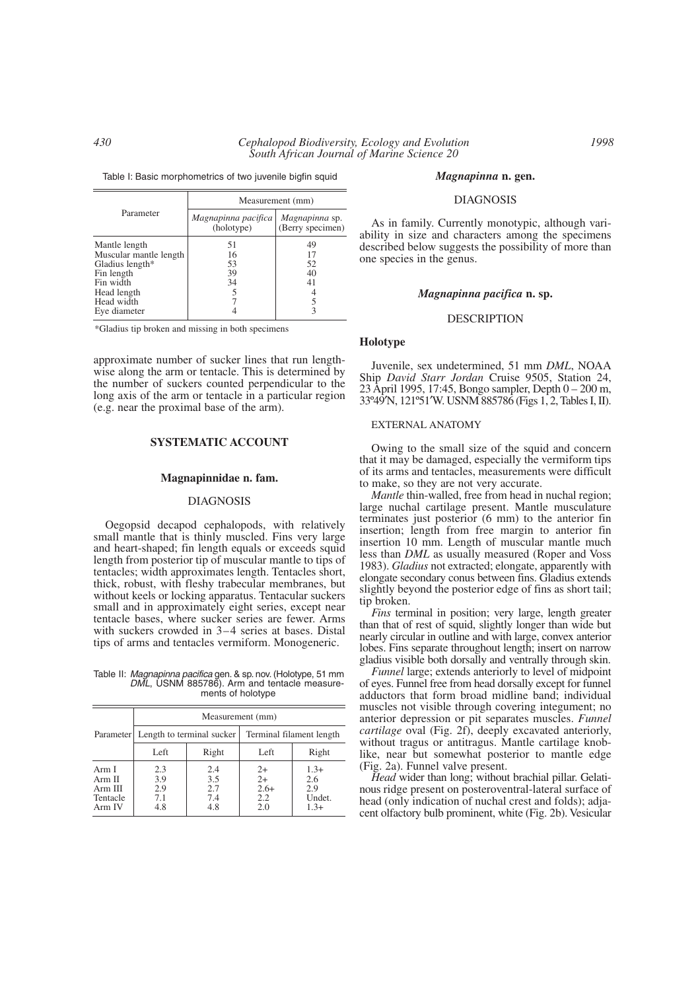Table I: Basic morphometrics of two juvenile bigfin squid

| Parameter              | Measurement (mm)                  |                                    |  |
|------------------------|-----------------------------------|------------------------------------|--|
|                        | Magnapinna pacifica<br>(holotype) | Magnapinna sp.<br>(Berry specimen) |  |
| Mantle length          | 51                                | 49                                 |  |
| Muscular mantle length | 16                                | 17                                 |  |
| Gladius length*        | 53                                | 52                                 |  |
| Fin length             | 39                                | 40                                 |  |
| Fin width              | 34                                | 41                                 |  |
| Head length            |                                   |                                    |  |
| Head width             |                                   |                                    |  |
| Eye diameter           |                                   |                                    |  |

\*Gladius tip broken and missing in both specimens

approximate number of sucker lines that run lengthwise along the arm or tentacle. This is determined by the number of suckers counted perpendicular to the long axis of the arm or tentacle in a particular region (e.g. near the proximal base of the arm).

### **SYSTEMATIC ACCOUNT**

#### **Magnapinnidae n. fam.**

#### DIAGNOSIS

Oegopsid decapod cephalopods, with relatively small mantle that is thinly muscled. Fins very large and heart-shaped; fin length equals or exceeds squid length from posterior tip of muscular mantle to tips of tentacles; width approximates length. Tentacles short, thick, robust, with fleshy trabecular membranes, but without keels or locking apparatus. Tentacular suckers small and in approximately eight series, except near tentacle bases, where sucker series are fewer. Arms with suckers crowded in 3–4 series at bases. Distal tips of arms and tentacles vermiform. Monogeneric.

Table II: *Magnapinna pacifica* gen. & sp. nov. (Holotype, 51 mm *DML*, USNM 885786). Arm and tentacle measurements of holotype

|                                                  | Measurement (mm)                      |                                 |                                      |                                          |  |
|--------------------------------------------------|---------------------------------------|---------------------------------|--------------------------------------|------------------------------------------|--|
|                                                  | Parameter   Length to terminal sucker |                                 | Terminal filament length             |                                          |  |
|                                                  | Left                                  | Right                           | Left                                 | Right                                    |  |
| Arm I<br>Arm II<br>Arm III<br>Tentacle<br>Arm IV | 2.3<br>3.9<br>2.9<br>7.1<br>4.8       | 2.4<br>3.5<br>2.7<br>7.4<br>4.8 | $2+$<br>$2+$<br>$2.6+$<br>2.2<br>2.0 | $1.3+$<br>2.6<br>2.9<br>Undet.<br>$1.3+$ |  |

## *Magnapinna* **n. gen.**

#### DIAGNOSIS

As in family. Currently monotypic, although variability in size and characters among the specimens described below suggests the possibility of more than one species in the genus.

# *Magnapinna pacifica* **n. sp.**

#### **DESCRIPTION**

## **Holotype**

Juvenile, sex undetermined, 51 mm *DML*, NOAA Ship *David Starr Jordan* Cruise 9505, Station 24, 23 April 1995, 17:45, Bongo sampler, Depth 0 – 200 m, 33º49′N, 121º51′W. USNM 885786 (Figs 1, 2, Tables I, II).

#### EXTERNAL ANATOMY

Owing to the small size of the squid and concern that it may be damaged, especially the vermiform tips of its arms and tentacles, measurements were difficult to make, so they are not very accurate.

*Mantle* thin-walled, free from head in nuchal region; large nuchal cartilage present. Mantle musculature terminates just posterior (6 mm) to the anterior fin insertion; length from free margin to anterior fin insertion 10 mm. Length of muscular mantle much less than *DML* as usually measured (Roper and Voss 1983). *Gladius* not extracted; elongate, apparently with elongate secondary conus between fins. Gladius extends slightly beyond the posterior edge of fins as short tail; tip broken.

*Fins* terminal in position; very large, length greater than that of rest of squid, slightly longer than wide but nearly circular in outline and with large, convex anterior lobes. Fins separate throughout length; insert on narrow gladius visible both dorsally and ventrally through skin.

*Funnel* large; extends anteriorly to level of midpoint of eyes. Funnel free from head dorsally except for funnel adductors that form broad midline band; individual muscles not visible through covering integument; no anterior depression or pit separates muscles. *Funnel cartilage* oval (Fig. 2f), deeply excavated anteriorly, without tragus or antitragus. Mantle cartilage knoblike, near but somewhat posterior to mantle edge (Fig. 2a). Funnel valve present.

*Head* wider than long; without brachial pillar. Gelatinous ridge present on posteroventral-lateral surface of head (only indication of nuchal crest and folds); adjacent olfactory bulb prominent, white (Fig. 2b). Vesicular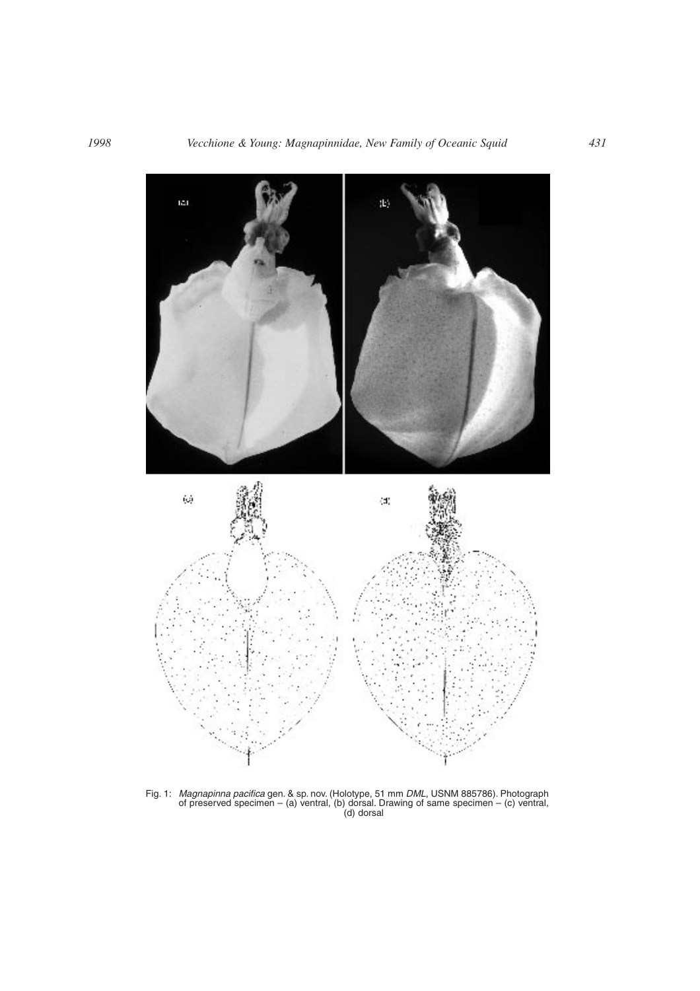

Fig. 1: *Magnapinna pacifica* gen. & sp. nov. (Holotype, 51 mm *DML*, USNM 885786). Photograph of preserved specimen – (a) ventral, (b) dorsal. Drawing of same specimen – (c) ventral, (d) dorsal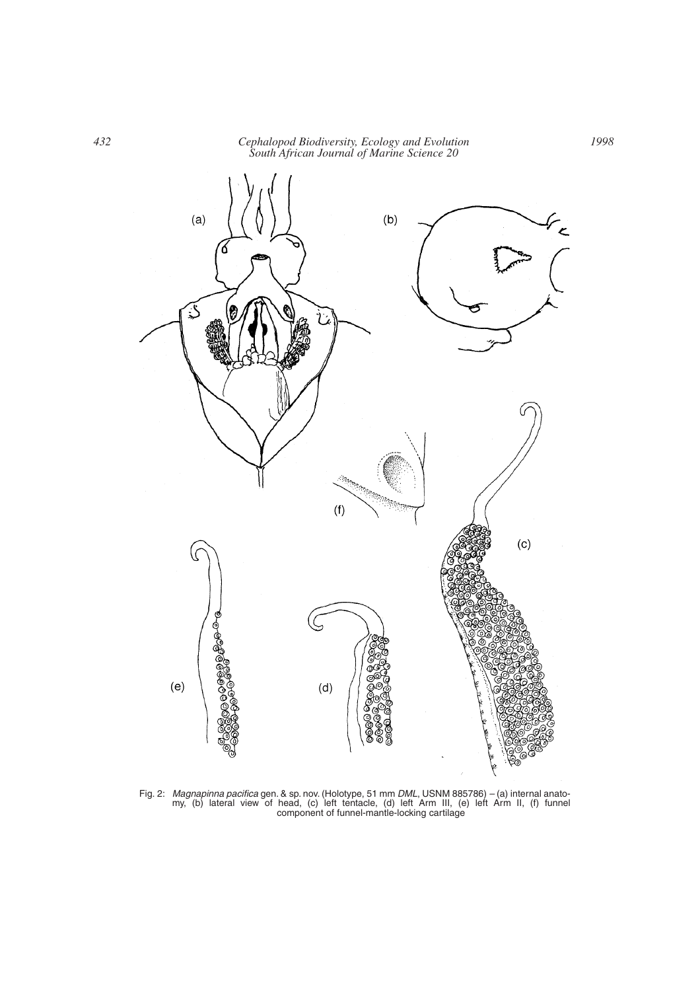*432 Cephalopod Biodiversity, Ecology and Evolution South African Journal of Marine Science 20*



Fig. 2: *Magnapinna pacifica* gen. & sp. nov. (Holotype, 51 mm *DML*, USNM 885786) *–* (a) internal anatomy, (b) lateral view of head, (c) left tentacle, (d) left Arm III, (e) left Arm II, (f) funnel component of funnel-mantle-locking cartilage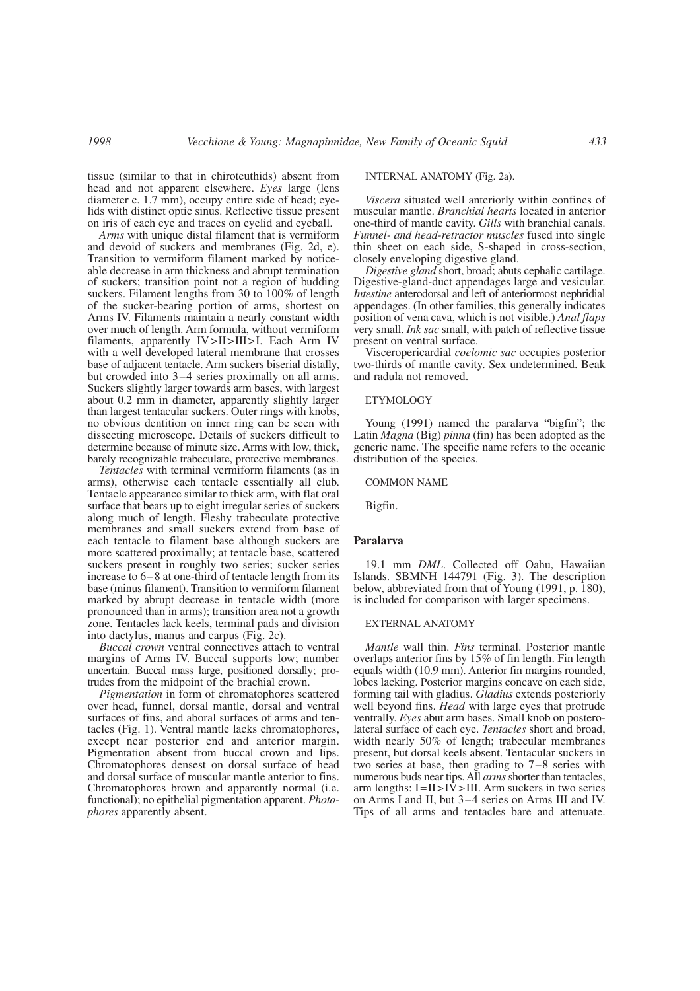tissue (similar to that in chiroteuthids) absent from head and not apparent elsewhere. *Eyes* large (lens diameter c. 1.7 mm), occupy entire side of head; eyelids with distinct optic sinus. Reflective tissue present on iris of each eye and traces on eyelid and eyeball.

*Arms* with unique distal filament that is vermiform and devoid of suckers and membranes (Fig. 2d, e). Transition to vermiform filament marked by noticeable decrease in arm thickness and abrupt termination of suckers; transition point not a region of budding suckers. Filament lengths from 30 to 100% of length of the sucker-bearing portion of arms, shortest on Arms IV. Filaments maintain a nearly constant width over much of length. Arm formula, without vermiform filaments, apparently IV>II>III>I. Each Arm IV with a well developed lateral membrane that crosses base of adjacent tentacle. Arm suckers biserial distally, but crowded into 3–4 series proximally on all arms. Suckers slightly larger towards arm bases, with largest about 0.2 mm in diameter, apparently slightly larger than largest tentacular suckers. Outer rings with knobs, no obvious dentition on inner ring can be seen with dissecting microscope. Details of suckers difficult to determine because of minute size. Arms with low, thick, barely recognizable trabeculate, protective membranes.

*Tentacles* with terminal vermiform filaments (as in arms), otherwise each tentacle essentially all club. Tentacle appearance similar to thick arm, with flat oral surface that bears up to eight irregular series of suckers along much of length. Fleshy trabeculate protective membranes and small suckers extend from base of each tentacle to filament base although suckers are more scattered proximally; at tentacle base, scattered suckers present in roughly two series; sucker series increase to 6–8 at one-third of tentacle length from its base (minus filament). Transition to vermiform filament marked by abrupt decrease in tentacle width (more pronounced than in arms); transition area not a growth zone. Tentacles lack keels, terminal pads and division into dactylus, manus and carpus (Fig. 2c).

*Buccal crown* ventral connectives attach to ventral margins of Arms IV. Buccal supports low; number uncertain. Buccal mass large, positioned dorsally; protrudes from the midpoint of the brachial crown.

*Pigmentation* in form of chromatophores scattered over head, funnel, dorsal mantle, dorsal and ventral surfaces of fins, and aboral surfaces of arms and tentacles (Fig. 1). Ventral mantle lacks chromatophores, except near posterior end and anterior margin. Pigmentation absent from buccal crown and lips. Chromatophores densest on dorsal surface of head and dorsal surface of muscular mantle anterior to fins. Chromatophores brown and apparently normal (i.e. functional); no epithelial pigmentation apparent. *Photophores* apparently absent.

## INTERNAL ANATOMY (Fig. 2a).

*Viscera* situated well anteriorly within confines of muscular mantle. *Branchial hearts* located in anterior one-third of mantle cavity. *Gills* with branchial canals. *Funnel- and head-retractor muscles* fused into single thin sheet on each side, S-shaped in cross-section, closely enveloping digestive gland.

*Digestive gland* short, broad; abuts cephalic cartilage. Digestive-gland-duct appendages large and vesicular. *Intestine* anterodorsal and left of anteriormost nephridial appendages. (In other families, this generally indicates position of vena cava, which is not visible.) *Anal flaps* very small. *Ink sac* small, with patch of reflective tissue present on ventral surface.

Visceropericardial *coelomic sac* occupies posterior two-thirds of mantle cavity. Sex undetermined. Beak and radula not removed.

### ETYMOLOGY

Young (1991) named the paralarva "bigfin"; the Latin *Magna* (Big) *pinna* (fin) has been adopted as the generic name. The specific name refers to the oceanic distribution of the species.

### COMMON NAME

Bigfin.

### **Paralarva**

19.1 mm *DML*. Collected off Oahu, Hawaiian Islands. SBMNH 144791 (Fig. 3). The description below, abbreviated from that of Young (1991, p. 180), is included for comparison with larger specimens.

## EXTERNAL ANATOMY

*Mantle* wall thin. *Fins* terminal. Posterior mantle overlaps anterior fins by 15% of fin length. Fin length equals width (10.9 mm). Anterior fin margins rounded, lobes lacking. Posterior margins concave on each side, forming tail with gladius. *Gladius* extends posteriorly well beyond fins. *Head* with large eyes that protrude ventrally. *Eyes* abut arm bases. Small knob on posterolateral surface of each eye. *Tentacles* short and broad, width nearly 50% of length; trabecular membranes present, but dorsal keels absent. Tentacular suckers in two series at base, then grading to 7–8 series with numerous buds near tips. All *arms* shorter than tentacles, arm lengths:  $I = II > I\bar{V} > III$ . Arm suckers in two series on Arms I and II, but 3–4 series on Arms III and IV. Tips of all arms and tentacles bare and attenuate.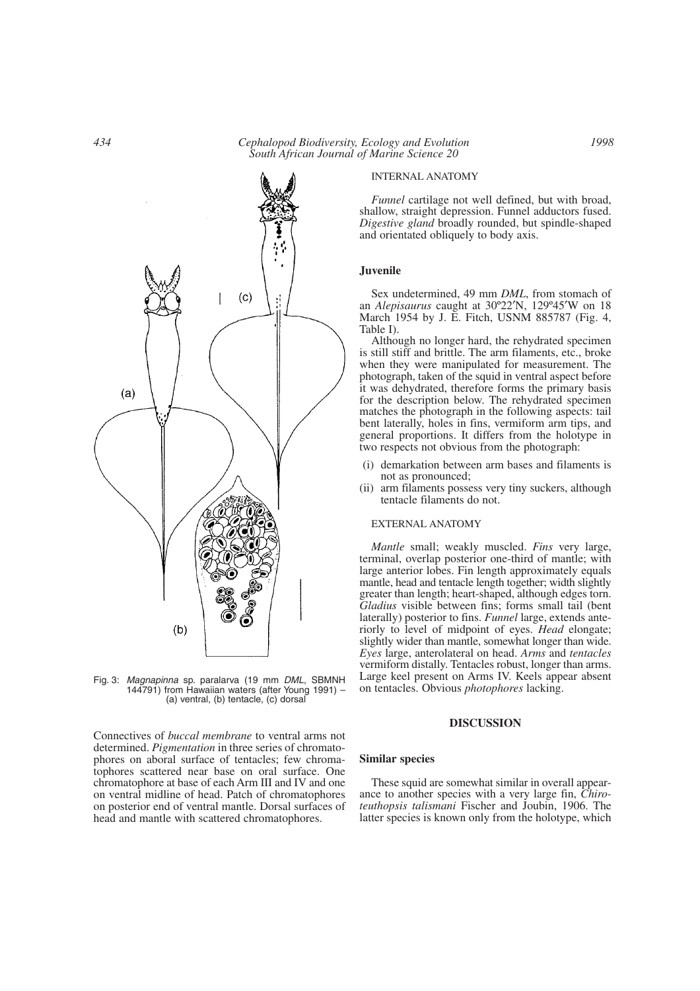

Fig. 3: *Magnapinna* sp. paralarva (19 mm *DML*, SBMNH 144791) from Hawaiian waters (after Young 1991) – (a) ventral, (b) tentacle, (c) dorsal

Connectives of *buccal membrane* to ventral arms not determined. *Pigmentation* in three series of chromatophores on aboral surface of tentacles; few chromatophores scattered near base on oral surface. One chromatophore at base of each Arm III and IV and one on ventral midline of head. Patch of chromatophores on posterior end of ventral mantle. Dorsal surfaces of head and mantle with scattered chromatophores.

# INTERNAL ANATOMY

*Funnel* cartilage not well defined, but with broad, shallow, straight depression. Funnel adductors fused. *Digestive gland* broadly rounded, but spindle-shaped and orientated obliquely to body axis.

### **Juvenile**

Sex undetermined, 49 mm *DML*, from stomach of an *Alepisaurus* caught at 30º22′N, 129º45′W on 18 March 1954 by J. E. Fitch, USNM 885787 (Fig. 4, Table I).

Although no longer hard, the rehydrated specimen is still stiff and brittle. The arm filaments, etc., broke when they were manipulated for measurement. The photograph, taken of the squid in ventral aspect before it was dehydrated, therefore forms the primary basis for the description below. The rehydrated specimen matches the photograph in the following aspects: tail bent laterally, holes in fins, vermiform arm tips, and general proportions. It differs from the holotype in two respects not obvious from the photograph:

- i(i) demarkation between arm bases and filaments is not as pronounced;
- (ii) arm filaments possess very tiny suckers, although tentacle filaments do not.

## EXTERNAL ANATOMY

*Mantle* small; weakly muscled. *Fins* very large, terminal, overlap posterior one-third of mantle; with large anterior lobes. Fin length approximately equals mantle, head and tentacle length together; width slightly greater than length; heart-shaped, although edges torn. *Gladius* visible between fins; forms small tail (bent laterally) posterior to fins. *Funnel* large, extends anteriorly to level of midpoint of eyes. *Head* elongate; slightly wider than mantle, somewhat longer than wide. *Eyes* large, anterolateral on head. *Arms* and *tentacles* vermiform distally. Tentacles robust, longer than arms. Large keel present on Arms IV. Keels appear absent on tentacles. Obvious *photophores* lacking.

# **DISCUSSION**

#### **Similar species**

These squid are somewhat similar in overall appearance to another species with a very large fin, *Chiroteuthopsis talismani* Fischer and Joubin, 1906. The latter species is known only from the holotype, which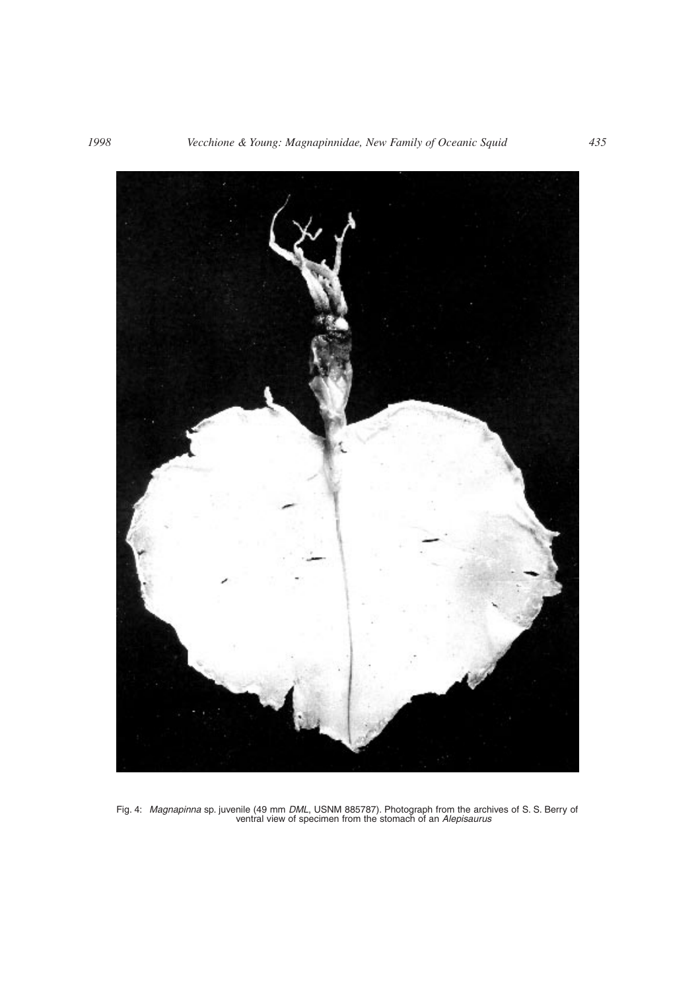

Fig. 4: *Magnapinna* sp. juvenile (49 mm *DML*, USNM 885787). Photograph from the archives of S. S. Berry of ventral view of specimen from the stomach of an *Alepisaurus*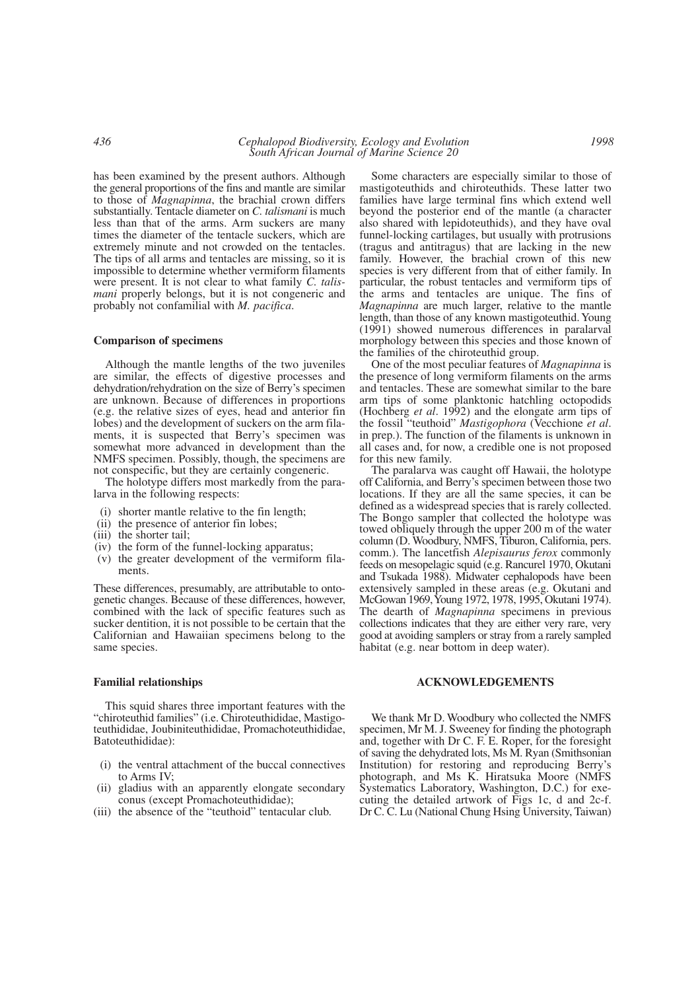has been examined by the present authors. Although the general proportions of the fins and mantle are similar to those of *Magnapinna*, the brachial crown differs substantially. Tentacle diameter on *C. talismani* is much less than that of the arms. Arm suckers are many times the diameter of the tentacle suckers, which are extremely minute and not crowded on the tentacles. The tips of all arms and tentacles are missing, so it is impossible to determine whether vermiform filaments were present. It is not clear to what family *C. talismani* properly belongs, but it is not congeneric and probably not confamilial with *M. pacifica*.

### **Comparison of specimens**

Although the mantle lengths of the two juveniles are similar, the effects of digestive processes and dehydration/rehydration on the size of Berry's specimen are unknown. Because of differences in proportions (e.g. the relative sizes of eyes, head and anterior fin lobes) and the development of suckers on the arm filaments, it is suspected that Berry's specimen was somewhat more advanced in development than the NMFS specimen. Possibly, though, the specimens are not conspecific, but they are certainly congeneric.

The holotype differs most markedly from the paralarva in the following respects:

- (i) shorter mantle relative to the fin length;
- (ii) the presence of anterior fin lobes;
- (iii) the shorter tail;
- (iv) the form of the funnel-locking apparatus;
- (v) the greater development of the vermiform filaments.

These differences, presumably, are attributable to ontogenetic changes. Because of these differences, however, combined with the lack of specific features such as sucker dentition, it is not possible to be certain that the Californian and Hawaiian specimens belong to the same species.

#### **Familial relationships**

This squid shares three important features with the "chiroteuthid families" (i.e. Chiroteuthididae, Mastigoteuthididae, Joubiniteuthididae, Promachoteuthididae, Batoteuthididae):

- (i) the ventral attachment of the buccal connectives to Arms IV;
- (ii) gladius with an apparently elongate secondary conus (except Promachoteuthididae);
- (iii) the absence of the "teuthoid" tentacular club.

Some characters are especially similar to those of mastigoteuthids and chiroteuthids. These latter two families have large terminal fins which extend well beyond the posterior end of the mantle (a character also shared with lepidoteuthids), and they have oval funnel-locking cartilages, but usually with protrusions (tragus and antitragus) that are lacking in the new family. However, the brachial crown of this new species is very different from that of either family. In particular, the robust tentacles and vermiform tips of the arms and tentacles are unique. The fins of *Magnapinna* are much larger, relative to the mantle length, than those of any known mastigoteuthid. Young (1991) showed numerous differences in paralarval morphology between this species and those known of the families of the chiroteuthid group.

One of the most peculiar features of *Magnapinna* is the presence of long vermiform filaments on the arms and tentacles. These are somewhat similar to the bare arm tips of some planktonic hatchling octopodids (Hochberg *et al*. 1992) and the elongate arm tips of the fossil "teuthoid" *Mastigophora* (Vecchione *et al*. in prep.). The function of the filaments is unknown in all cases and, for now, a credible one is not proposed for this new family.

The paralarva was caught off Hawaii, the holotype off California, and Berry's specimen between those two locations. If they are all the same species, it can be defined as a widespread species that is rarely collected. The Bongo sampler that collected the holotype was towed obliquely through the upper 200 m of the water column (D. Woodbury, NMFS, Tiburon, California, pers. comm.). The lancetfish *Alepisaurus ferox* commonly feeds on mesopelagic squid (e.g. Rancurel 1970, Okutani and Tsukada 1988). Midwater cephalopods have been extensively sampled in these areas (e.g. Okutani and McGowan 1969,Young 1972, 1978, 1995, Okutani 1974). The dearth of *Magnapinna* specimens in previous collections indicates that they are either very rare, very good at avoiding samplers or stray from a rarely sampled habitat (e.g. near bottom in deep water).

### **ACKNOWLEDGEMENTS**

We thank Mr D. Woodbury who collected the NMFS specimen, Mr M. J. Sweeney for finding the photograph and, together with Dr C. F. E. Roper, for the foresight of saving the dehydrated lots, Ms M. Ryan (Smithsonian Institution) for restoring and reproducing Berry's photograph, and Ms K. Hiratsuka Moore (NMFS Systematics Laboratory, Washington, D.C.) for executing the detailed artwork of Figs 1c, d and 2c-f. Dr C. C. Lu (National Chung Hsing University, Taiwan)